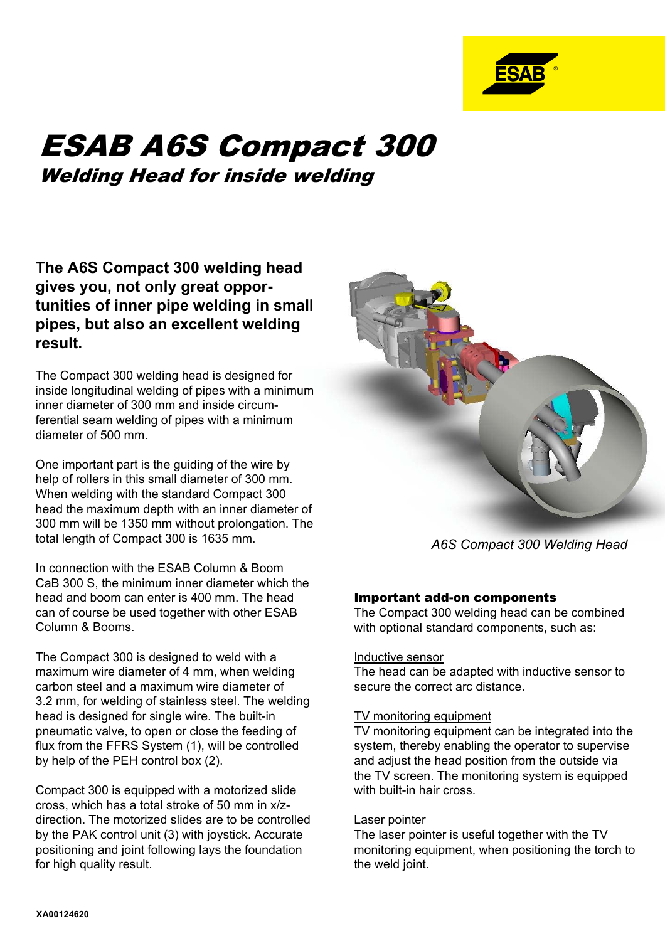

# ESAB A6S Compact 300 Welding Head for inside welding

**The A6S Compact 300 welding head gives you, not only great opportunities of inner pipe welding in small pipes, but also an excellent welding result.**

The Compact 300 welding head is designed for inside longitudinal welding of pipes with a minimum inner diameter of 300 mm and inside circumferential seam welding of pipes with a minimum diameter of 500 mm.

One important part is the guiding of the wire by help of rollers in this small diameter of 300 mm. When welding with the standard Compact 300 head the maximum depth with an inner diameter of 300 mm will be 1350 mm without prolongation. The total length of Compact 300 is 1635 mm.

In connection with the ESAB Column & Boom CaB 300 S, the minimum inner diameter which the head and boom can enter is 400 mm. The head can of course be used together with other ESAB Column & Booms.

The Compact 300 is designed to weld with a maximum wire diameter of 4 mm, when welding carbon steel and a maximum wire diameter of 3.2 mm, for welding of stainless steel. The welding head is designed for single wire. The built-in pneumatic valve, to open or close the feeding of flux from the FFRS System (1), will be controlled by help of the PEH control box (2).

Compact 300 is equipped with a motorized slide cross, which has a total stroke of 50 mm in x/zdirection. The motorized slides are to be controlled by the PAK control unit (3) with joystick. Accurate positioning and joint following lays the foundation for high quality result.



*A6S Compact 300 Welding Head*

## Important add-on components

The Compact 300 welding head can be combined with optional standard components, such as:

#### Inductive sensor

The head can be adapted with inductive sensor to secure the correct arc distance.

#### TV monitoring equipment

TV monitoring equipment can be integrated into the system, thereby enabling the operator to supervise and adjust the head position from the outside via the TV screen. The monitoring system is equipped with built-in hair cross.

#### Laser pointer

The laser pointer is useful together with the TV monitoring equipment, when positioning the torch to the weld joint.